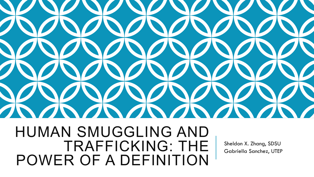

HUMAN SMUGGLING AND TRAFFICKING: THE POWER OF A DEFINITION

Sheldon X. Zhang, SDSU Gabriella Sanchez, UTEP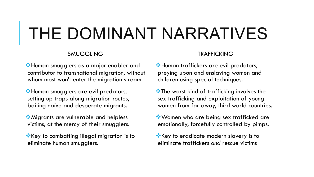# THE DOMINANT NARRATIVES

#### SMUGGLING

**W**Human smugglers as a major enabler and contributor to transnational migration, without whom most won't enter the migration stream.

**W**Human smugglers are evil predators, setting up traps along migration routes, baiting naïve and desperate migrants.

**Wigrants are vulnerable and helpless** victims, at the mercy of their smugglers.

 $\mathbf{\hat{v}}$  Key to combatting illegal migration is to eliminate human smugglers.

#### TRAFFICKING

**W**Human traffickers are evil predators, preying upon and enslaving women and children using special techniques.

 $\bullet$  The worst kind of trafficking involves the sex trafficking and exploitation of young women from far away, third world countries.

Women who are being sex trafficked are emotionally, forcefully controlled by pimps.

**Example 2 Service State Service State State State State State State State State State State State State State State State State State State State State State State State State State State State State State State State Sta** eliminate traffickers *and* rescue victims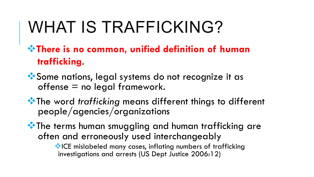# WHAT IS TRAFFICKING?

### $\cdot$ There is no common, unified definition of human  **trafficking**.

\*Some nations, legal systems do not recognize it as  $offense = no legal framework.$ 

**\*\*** The word *trafficking* means different things to different people/agencies/organizations

**\*\*** The terms human smuggling and human trafficking are often and erroneously used interchangeably

> **WICE mislabeled many cases, inflating numbers of trafficking** investigations and arrests (US Dept Justice 2006:12)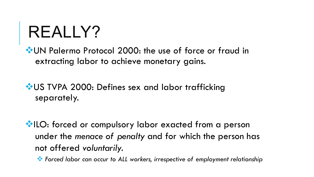# REALLY?

\* UN Palermo Protocol 2000: the use of force or fraud in extracting labor to achieve monetary gains.

\* US TVPA 2000: Defines sex and labor trafficking separately.

**VILO:** forced or compulsory labor exacted from a person under the *menace of penalty* and for which the person has not offered *voluntarily.* 

*\*\** Forced labor can occur to ALL workers, irrespective of employment relationship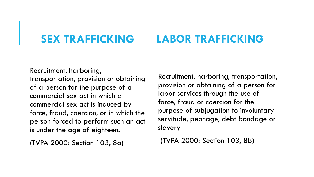#### **SEX TRAFFICKING LABOR TRAFFICKING**

Recruitment, harboring, transportation, provision or obtaining of a person for the purpose of a commercial sex act in which a commercial sex act is induced by force, fraud, coercion, or in which the person forced to perform such an act is under the age of eighteen.

(TVPA 2000: Section 103, 8a)

Recruitment, harboring, transportation, provision or obtaining of a person for labor services through the use of force, fraud or coercion for the purpose of subjugation to involuntary servitude, peonage, debt bondage or slavery

(TVPA 2000: Section 103, 8b)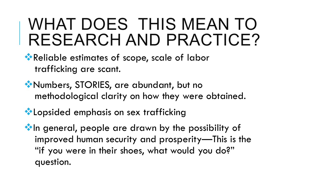## WHAT DOES THIS MEAN TO RESEARCH AND PRACTICE?

### \*\* Reliable estimates of scope, scale of labor trafficking are scant.

**W** Numbers, STORIES, are abundant, but no methodological clarity on how they were obtained.

**Extending to Lopsided emphasis on sex trafficking** 

 $\cdot$  In general, people are drawn by the possibility of improved human security and prosperity—This is the "if you were in their shoes, what would you do?" question.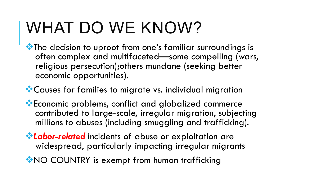# WHAT DO WE KNOW?

 $\cdot$  The decision to uproot from one's familiar surroundings is often complex and multifaceted—some compelling (wars, religious persecution);others mundane (seeking better economic opportunities).

**Causes for families to migrate vs. individual migration** 

**\*** Economic problems, conflict and globalized commerce contributed to large-scale, irregular migration, subjecting millions to abuses (including smuggling and trafficking).

*\*Labor-related* incidents of abuse or exploitation are widespread, particularly impacting irregular migrants

**WAO COUNTRY is exempt from human trafficking**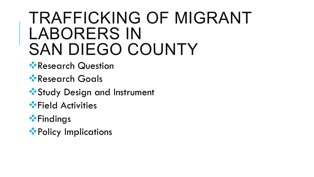## TRAFFICKING OF MIGRANT LABORERS IN SAN DIEGO COUNTY

- \*Research Question
- \*Research Goals
- \*\* Study Design and Instrument
- **\***Field Activities
- $\cdot$ Findings
- \*\* Policy Implications